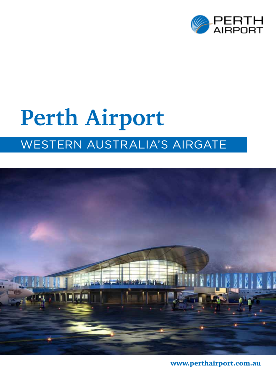

# **Perth Airport** Western Australia's airgate



www.perthairport.com.au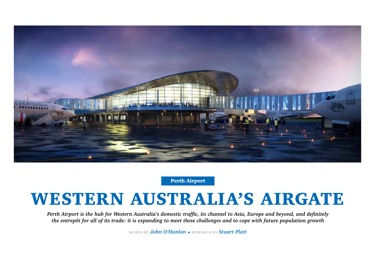*Perth Airport is the hub for Western Australia's domestic traffic, its channel to Asia, Europe and beyond, and definitely the entrepôt for all of its trade: it is expanding to meet these challenges and to cope with future population growth*

WORDS BY **John O'Hanlon RESEARCH BY Stuart Platt** 





Perth Airport

# WESTERN AUSTRALIA'S AIRGATE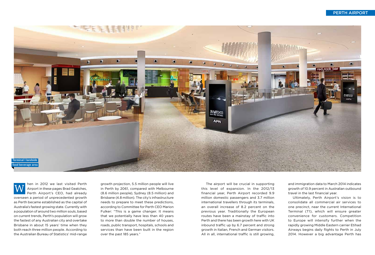hen in 2012 we last visited Perth Airport in these pages Brad Geatches, Perth Airport's CEO, had already overseen a period of unprecedented growth as Perth became established as the capital of Australia's fastest growing state. Currently with a population of around two million souls, based on current trends, Perth's population will grow the fastest of any Australian city and overtake Brisbane in about 15 years' time when they both reach three million people. According to the Australian Bureau of Statistics' mid-range W

growth projection, 5.5 million people will live in Perth by 2061, compared with Melbourne (8.6 million people), Sydney (8.5 million) and Brisbane (4.8 million). The city's infrastructure needs to prepare to meet these predictions, according to Committee for Perth CEO Marion Fulker: "This is a game changer. It means that we potentially have less than 40 years to more than double the number of houses, roads, public transport, hospitals, schools and services than have been built in the region over the past 185 years."



#### Perth Airport

and immigration data to March 2014 indicates growth of 10.9 percent in Australian outbound travel in the last financial year.

Ultimately, Perth Airport's vision is to consolidate all commercial air services to one precinct, near the current International Terminal (T1), which will ensure greater convenience for customers. Competition to Europe will intensify further when the rapidly growing Middle Eastern carrier Etihad Airways begins daily flights to Perth in July 2014. However a big advantage Perth has

The airport will be crucial in supporting this level of expansion. In the 2012/13 financial year, Perth Airport recorded 9.9 million domestic passengers and 3.7 million international travellers through its terminals, an overall increase of 8.2 percent on the previous year. Traditionally the European routes have been a mainstay of traffic into Perth and there has been growth here with UK inbound traffic up by 6.7 percent and strong growth in Italian, French and German visitors. All in all, international traffic is still growing,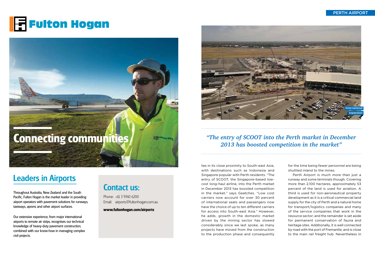## Leaders in Airports





Throughout Australia, New Zealand and the South Pacific, Fulton Hogan is the market leader in providing airport operators with pavement solutions for runways, taxiways, aprons and other airport surfaces.

Our extensive experience, from major international airports to remote air strips, recognises our technical knowledge of heavy-duty pavement construction, combined with our know-how in managing complex civil projects.

## Contact us:

Phone: +61 3 9340 6200 Email: airports@fultonhogan.com.au

**www.fultonhogan.com/airports**

Perth Airport

lies in its close proximity to South-east Asia, with destinations such as Indonesia and Singapore popular with Perth residents. "The entry of SCOOT, the Singapore-based lowcost long-haul airline, into the Perth market in December 2013 has boosted competition in the market," says Geatches. "Low cost carriers now account for over 30 percent of international seats and passengers now have the choice of up to ten different carriers for access into South-east Asia." However, he adds, growth in the domestic market driven by the mining sector has slowed considerably since we last spoke, as many projects have moved from the construction to the production phase and consequently

### *"The entry of SCOOT into the Perth market in December 2013 has boosted competition in the market"*

for the time being fewer personnel are being shuttled inland to the mines.

Perth Airport is much more than just a runway and some terminals though. Covering more than 2,100 hectares, approximately 53 percent of the land is used for aviation. A third is used for non-aeronautical property development as it is a critical commercial land supply for the city of Perth and a natural home for transport/logistics companies and many of the service companies that work in the resource sector; and the remainder is set aside for permanent conservation of fauna and heritage sites. Additionally, it is well connected by road with the port of Fremantle, and is close to the main rail freight hub. Nevertheless in

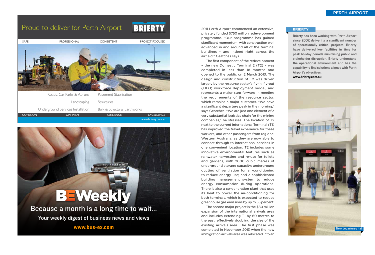Brierty has been working with Perth Airport since 2007, delivering a significant number of operationally critical projects. Brierty have delivered key facilities in time for peak holiday periods minimising public and stakeholder disruption. Brierty understand the operational environment and has the capability to find solutions aligned with Perth Airport's objectives.

www.brierty.com.au



#### **BRIERTY**

2011 Perth Airport commenced an extensive, privately funded \$750 million redevelopment programme. "Our programme has gained significant momentum, with construction well advanced in and around all of the terminal buildings – and indeed right across the airfield," Geatches says.

**BULGARY TECHNOLOGY BEWeekly** Because a month is a long time to wait... Your weekly digest of business news and views

The first component of the redevelopment – the new Domestic Terminal 2 (T2) – was completed in less than 18 months and opened to the public on 2 March 2013. The design and construction of T2 was driven largely by the resource sector's fly-in, fly-out (FIFO) workforce deployment model, and represents a major step forward in meeting the requirements of the resource sector, which remains a major customer. "We have a significant departure peak in the morning," says Geatches. "We are just one element of a very substantial logistics chain for the mining companies," he stresses. The location of T2 next to the current International Terminal (T1) has improved the travel experience for these workers, and other passengers from regional Western Australia, as they are now able to connect through to international services in one convenient location. T2 includes some innovative environmental features such as rainwater harvesting and re-use for toilets and gardens, with 2000 cubic metres of underground storage capacity; underground ducting of ventilation for air-conditioning to reduce energy use; and a sophisticated building management system to reduce energy consumption during operations. There is also a co-generation plant that uses its heat to power the air-conditioning for both terminals, which is expected to reduce greenhouse gas emissions by up to 55 percent.

The second major project is the \$80 million expansion of the international arrivals area and includes extending T1 by 60 metres to the east, effectively doubling the size of the existing arrivals area. The first phase was completed in November 2013 when the new immigration arrivals area was relocated into an

www.bus-ex.com

## Proud to deliver for Perth Airport



**BRIERTY**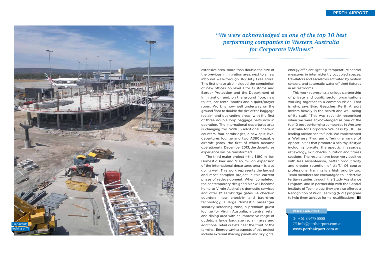extensive area, more than double the size of the previous immigration area, next to a new inbound walk-through J R / Duty Free store. This first phase also included the completion of new offices on level 1 for Customs and Border Protection and the Department of Immigration and, on the ground floor, new toilets, car rental booths and a quiet/prayer room. Work is now well underway on the ground floor to double the size of the baggage reclaim and quarantine areas, with the first of three double loop baggage belts now in operation. The international departures area is changing too. With 16 additional check-in counters, four aerobridges, a new split level departures lounge and two A380-capable aircraft gates, the first of which became operational in December 2013, the departures

This work represents a unique partnership of private and public sector organisations working together to a common vision. That is why, says Brad Geatches, Perth Airport invests heavily in the health and well-being of its staff. " This was recently recognised when we were acknowledged as one of the top 10 best performing companies in Western Australia for Corporate Wellness by HBF (a leading private health fund). We implemented a Wellness Program offering a range of opportunities that promote a healthy lifestyle including on-site therapeutic massages, reflexology, skin checks, nutrition and fitness sessions. The results have been very positive with less absenteeism, better productivity and greater retention of staff." Of course professional training is a high priority too. Team members are encouraged to undertake tertiary studies through the Study Assistance Program, and in partnership with the Central Institute of Technology, they are also offered a Recognition of Prior Learning ( R P L) program to help them achieve formal qualifications.  $B$ 

experience will be transformed. The third major project – the \$190 million Domestic Pier and \$145 million expansion of the international departures area – is also going well. This work represents the largest and most complex project in this current phase of redevelopment. When completed, the contemporary designed pier will become home to Virgin Australia's domestic services and offer 12 aerobridge gates, 14 check-in counters, new check-in and bag-drop technology, a large domestic passenger security screening zone, a premium guest lounge for Virgin Australia, a central retail and dining area with an impressive range of outlets, a large baggage reclaim area and additional retail outlets near the front of the terminal. Energy-saving aspects of this project include external shading panels and skylights,



energy efficient lighting, temperature control measures in intermittently occupied spaces, travelators and escalators activated by motion sensors, and automatic water efficient fixtures in all restrooms.



 +61 8 9478 8888  $\boxtimes$  info@perthairport.com.au **www.perthairport.com.au**

#### Perth Air port

### *"We were acknowledged as one of the top 10 best performing companies in Western Australia for Corporate Wellness"*